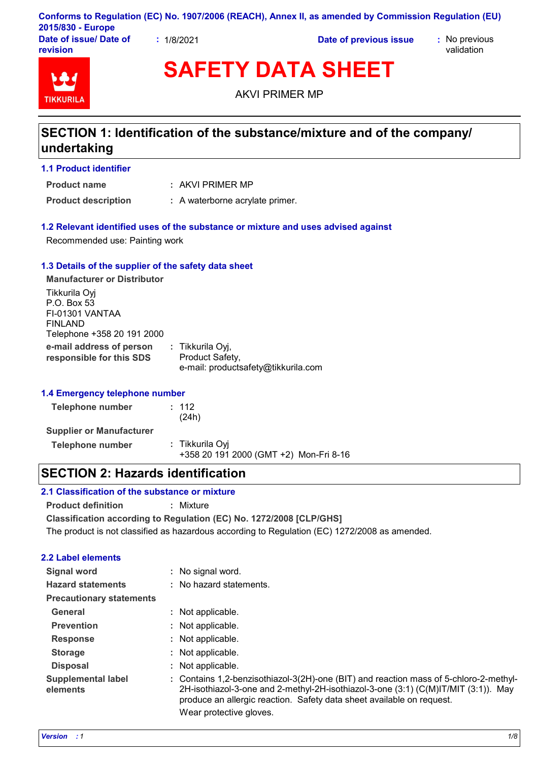|                                    |          | Conforms to Regulation (EC) No. 1907/2006 (REACH), Annex II, as amended by Commission Regulation (EU) |                             |
|------------------------------------|----------|-------------------------------------------------------------------------------------------------------|-----------------------------|
| 2015/830 - Europe                  |          |                                                                                                       |                             |
| Date of issue/ Date of<br>revision | 1/8/2021 | Date of previous issue                                                                                | : No previous<br>validation |

**TIKKURIL** 

**SAFETY DATA SHEET**

AKVI PRIMER MP

# **SECTION 1: Identification of the substance/mixture and of the company/ undertaking**

### **1.1 Product identifier**

**Product name**

AKVI PRIMER MP **:**

**Product description :** A waterborne acrylate primer.

### **1.2 Relevant identified uses of the substance or mixture and uses advised against**

Recommended use: Painting work

#### **1.3 Details of the supplier of the safety data sheet**

**e-mail address of person responsible for this SDS :** Tikkurila Oyj, Product Safety, e-mail: productsafety@tikkurila.com **Manufacturer or Distributor** Tikkurila Oyj P.O. Box 53 FI-01301 VANTAA FINLAND Telephone +358 20 191 2000

### **1.4 Emergency telephone number**

| Telephone number                | : 112<br>(24h)                                            |
|---------------------------------|-----------------------------------------------------------|
| <b>Supplier or Manufacturer</b> |                                                           |
| Telephone number                | : Tikkurila Ovi<br>+358 20 191 2000 (GMT +2) Mon-Fri 8-16 |

### **SECTION 2: Hazards identification**

### **2.1 Classification of the substance or mixture**

**Product definition :** Mixture

**Classification according to Regulation (EC) No. 1272/2008 [CLP/GHS]**

The product is not classified as hazardous according to Regulation (EC) 1272/2008 as amended.

### **2.2 Label elements**

| Signal word                           | : No signal word.                                                                                                                                                                                                                                    |
|---------------------------------------|------------------------------------------------------------------------------------------------------------------------------------------------------------------------------------------------------------------------------------------------------|
| <b>Hazard statements</b>              | : No hazard statements.                                                                                                                                                                                                                              |
| <b>Precautionary statements</b>       |                                                                                                                                                                                                                                                      |
| General                               | : Not applicable.                                                                                                                                                                                                                                    |
| <b>Prevention</b>                     | : Not applicable.                                                                                                                                                                                                                                    |
| <b>Response</b>                       | : Not applicable.                                                                                                                                                                                                                                    |
| <b>Storage</b>                        | : Not applicable.                                                                                                                                                                                                                                    |
| <b>Disposal</b>                       | : Not applicable.                                                                                                                                                                                                                                    |
| <b>Supplemental label</b><br>elements | : Contains 1,2-benzisothiazol-3(2H)-one (BIT) and reaction mass of 5-chloro-2-methyl-<br>2H-isothiazol-3-one and 2-methyl-2H-isothiazol-3-one (3:1) (C(M)IT/MIT (3:1)). May<br>produce an allergic reaction. Safety data sheet available on request. |
|                                       | Wear protective gloves.                                                                                                                                                                                                                              |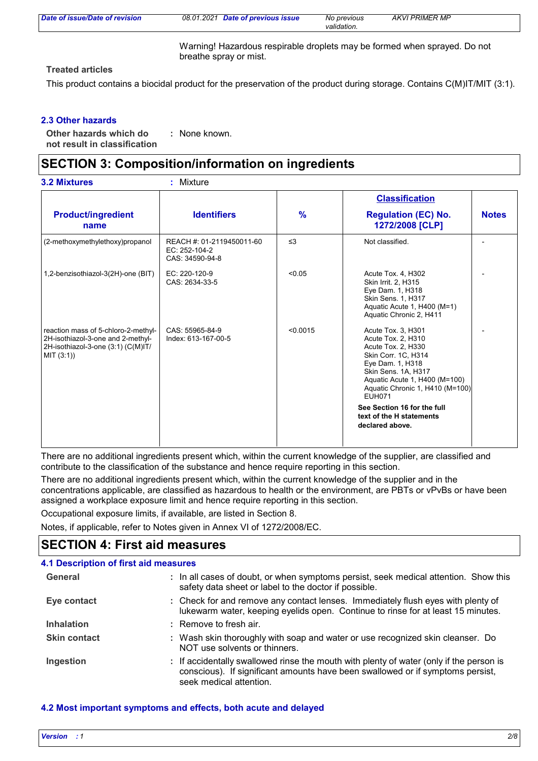| Date of issue/Date of revision | 08.01.2021 | Date of previous issue | No previous<br>validation. | <b>AKVI PRIMER MP</b> |
|--------------------------------|------------|------------------------|----------------------------|-----------------------|
|                                |            |                        |                            |                       |

Warning! Hazardous respirable droplets may be formed when sprayed. Do not breathe spray or mist.

### **Treated articles**

This product contains a biocidal product for the preservation of the product during storage. Contains C(M)IT/MIT (3:1).

### **2.3 Other hazards**

**Other hazards which do : not result in classification** : None known.

### **SECTION 3: Composition/information on ingredients**

|                                                                                                                             |                                                               |               | <b>Classification</b>                                                                                                                                                                                                                                                                               |              |
|-----------------------------------------------------------------------------------------------------------------------------|---------------------------------------------------------------|---------------|-----------------------------------------------------------------------------------------------------------------------------------------------------------------------------------------------------------------------------------------------------------------------------------------------------|--------------|
| <b>Product/ingredient</b><br>name                                                                                           | <b>Identifiers</b>                                            | $\frac{9}{6}$ | <b>Regulation (EC) No.</b><br>1272/2008 [CLP]                                                                                                                                                                                                                                                       | <b>Notes</b> |
| (2-methoxymethylethoxy)propanol                                                                                             | REACH #: 01-2119450011-60<br>EC: 252-104-2<br>CAS: 34590-94-8 | $\leq$ 3      | Not classified.                                                                                                                                                                                                                                                                                     |              |
| 1,2-benzisothiazol-3(2H)-one (BIT)                                                                                          | EC: 220-120-9<br>CAS: 2634-33-5                               | < 0.05        | Acute Tox. 4, H302<br>Skin Irrit. 2, H315<br>Eye Dam. 1, H318<br>Skin Sens. 1, H317<br>Aquatic Acute 1, H400 (M=1)<br>Aquatic Chronic 2, H411                                                                                                                                                       |              |
| reaction mass of 5-chloro-2-methyl-<br>2H-isothiazol-3-one and 2-methyl-<br>2H-isothiazol-3-one (3:1) (C(M)IT/<br>MIT (3:1) | CAS: 55965-84-9<br>Index: 613-167-00-5                        | < 0.0015      | Acute Tox. 3, H301<br>Acute Tox. 2, H310<br>Acute Tox. 2, H330<br>Skin Corr. 1C, H314<br>Eye Dam. 1, H318<br>Skin Sens. 1A, H317<br>Aquatic Acute 1, H400 (M=100)<br>Aquatic Chronic 1, H410 (M=100)<br><b>EUH071</b><br>See Section 16 for the full<br>text of the H statements<br>declared above. |              |

There are no additional ingredients present which, within the current knowledge of the supplier, are classified and contribute to the classification of the substance and hence require reporting in this section.

There are no additional ingredients present which, within the current knowledge of the supplier and in the concentrations applicable, are classified as hazardous to health or the environment, are PBTs or vPvBs or have been assigned a workplace exposure limit and hence require reporting in this section.

Occupational exposure limits, if available, are listed in Section 8.

Notes, if applicable, refer to Notes given in Annex VI of 1272/2008/EC.

## **SECTION 4: First aid measures**

| 4.1 Description of first aid measures |                                                                                                                                                                                                      |
|---------------------------------------|------------------------------------------------------------------------------------------------------------------------------------------------------------------------------------------------------|
| General                               | : In all cases of doubt, or when symptoms persist, seek medical attention. Show this<br>safety data sheet or label to the doctor if possible.                                                        |
| Eye contact                           | : Check for and remove any contact lenses. Immediately flush eyes with plenty of<br>lukewarm water, keeping eyelids open. Continue to rinse for at least 15 minutes.                                 |
| <b>Inhalation</b>                     | : Remove to fresh air.                                                                                                                                                                               |
| <b>Skin contact</b>                   | : Wash skin thoroughly with soap and water or use recognized skin cleanser. Do<br>NOT use solvents or thinners.                                                                                      |
| Ingestion                             | : If accidentally swallowed rinse the mouth with plenty of water (only if the person is<br>conscious). If significant amounts have been swallowed or if symptoms persist,<br>seek medical attention. |

### **4.2 Most important symptoms and effects, both acute and delayed**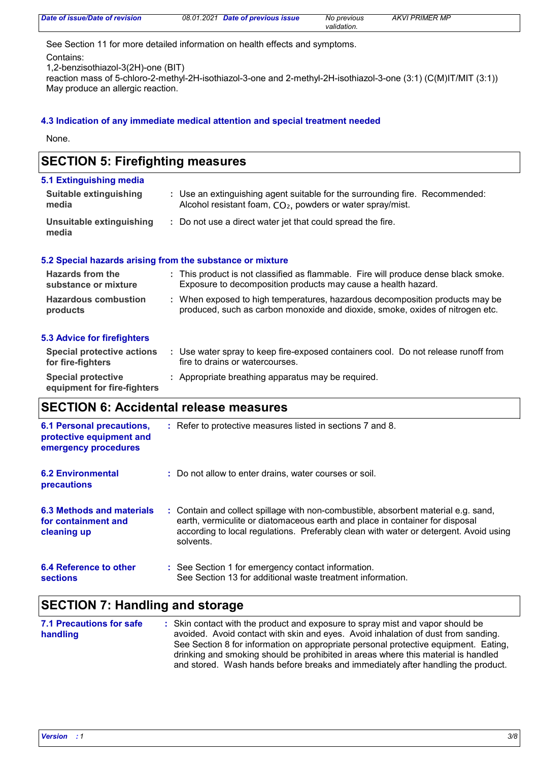| Date of issue/Date of revision | 08.01.2021 Date of previous issue | No previous | <b>AKVI PRIMER MP</b> |
|--------------------------------|-----------------------------------|-------------|-----------------------|
|                                |                                   | validation. |                       |

See Section 11 for more detailed information on health effects and symptoms.

Contains:

1,2-benzisothiazol-3(2H)-one (BIT)

reaction mass of 5-chloro-2-methyl-2H-isothiazol-3-one and 2-methyl-2H-isothiazol-3-one (3:1) (C(M)IT/MIT (3:1)) May produce an allergic reaction.

### **4.3 Indication of any immediate medical attention and special treatment needed**

None.

| <b>SECTION 5: Firefighting measures</b>  |                                                                                                                                                               |  |  |  |
|------------------------------------------|---------------------------------------------------------------------------------------------------------------------------------------------------------------|--|--|--|
| 5.1 Extinguishing media                  |                                                                                                                                                               |  |  |  |
| <b>Suitable extinguishing</b><br>media   | : Use an extinguishing agent suitable for the surrounding fire. Recommended:<br>Alcohol resistant foam, CO <sub>2</sub> , powders or water spray/mist.        |  |  |  |
| Unsuitable extinguishing<br>media        | : Do not use a direct water jet that could spread the fire.                                                                                                   |  |  |  |
|                                          | 5.2 Special hazards arising from the substance or mixture                                                                                                     |  |  |  |
| Hazards from the<br>substance or mixture | : This product is not classified as flammable. Fire will produce dense black smoke.<br>Exposure to decomposition products may cause a health hazard.          |  |  |  |
| <b>Hazardous combustion</b><br>products  | : When exposed to high temperatures, hazardous decomposition products may be<br>produced, such as carbon monoxide and dioxide, smoke, oxides of nitrogen etc. |  |  |  |

#### **5.3 Advice for firefighters**

| Special protective actions<br>for fire-fighters          | Use water spray to keep fire-exposed containers cool. Do not release runoff from<br>fire to drains or watercourses. |
|----------------------------------------------------------|---------------------------------------------------------------------------------------------------------------------|
| <b>Special protective</b><br>equipment for fire-fighters | : Appropriate breathing apparatus may be required.                                                                  |

# **SECTION 6: Accidental release measures**

| <b>6.1 Personal precautions,</b><br>protective equipment and<br>emergency procedures | : Refer to protective measures listed in sections 7 and 8.                                                                                                                                                                                                               |
|--------------------------------------------------------------------------------------|--------------------------------------------------------------------------------------------------------------------------------------------------------------------------------------------------------------------------------------------------------------------------|
| <b>6.2 Environmental</b><br>precautions                                              | : Do not allow to enter drains, water courses or soil.                                                                                                                                                                                                                   |
| 6.3 Methods and materials<br>for containment and<br>cleaning up                      | : Contain and collect spillage with non-combustible, absorbent material e.g. sand,<br>earth, vermiculite or diatomaceous earth and place in container for disposal<br>according to local regulations. Preferably clean with water or detergent. Avoid using<br>solvents. |
| 6.4 Reference to other<br><b>sections</b>                                            | : See Section 1 for emergency contact information.<br>See Section 13 for additional waste treatment information.                                                                                                                                                         |

# **SECTION 7: Handling and storage**

| 7.1 Precautions for safe | : Skin contact with the product and exposure to spray mist and vapor should be      |
|--------------------------|-------------------------------------------------------------------------------------|
| handling                 | avoided. Avoid contact with skin and eyes. Avoid inhalation of dust from sanding.   |
|                          | See Section 8 for information on appropriate personal protective equipment. Eating, |
|                          | drinking and smoking should be prohibited in areas where this material is handled   |
|                          | and stored. Wash hands before breaks and immediately after handling the product.    |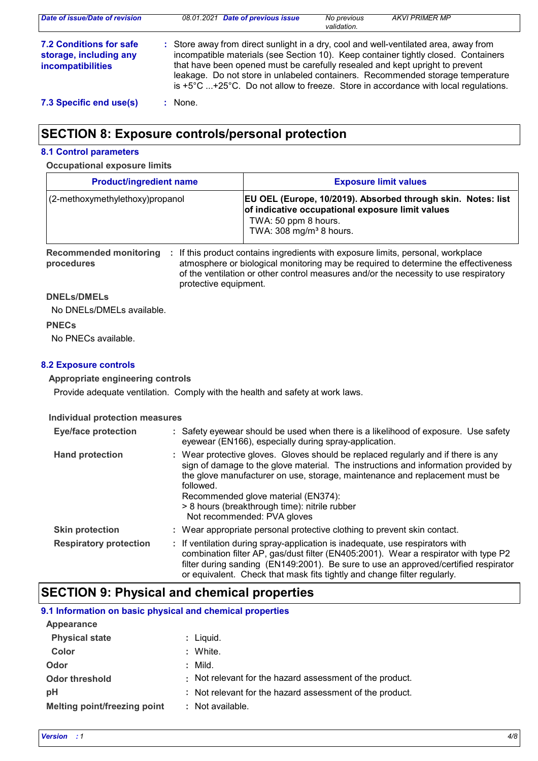| Date of issue/Date of revision                                         | 08.01.2021 Date of previous issue<br>No previous<br><b>AKVI PRIMER MP</b><br>validation.                                                                                                                                                                                                                                                                                                                                                               |
|------------------------------------------------------------------------|--------------------------------------------------------------------------------------------------------------------------------------------------------------------------------------------------------------------------------------------------------------------------------------------------------------------------------------------------------------------------------------------------------------------------------------------------------|
| 7.2 Conditions for safe<br>storage, including any<br>incompatibilities | : Store away from direct sunlight in a dry, cool and well-ventilated area, away from<br>incompatible materials (see Section 10). Keep container tightly closed. Containers<br>that have been opened must be carefully resealed and kept upright to prevent<br>leakage. Do not store in unlabeled containers. Recommended storage temperature<br>is $+5^{\circ}$ C $+25^{\circ}$ C. Do not allow to freeze. Store in accordance with local regulations. |
| 7.3 Specific end use(s)                                                | None.                                                                                                                                                                                                                                                                                                                                                                                                                                                  |

# **SECTION 8: Exposure controls/personal protection**

#### **8.1 Control parameters**

#### **Occupational exposure limits**

| <b>Product/ingredient name</b>   | <b>Exposure limit values</b>                                                                                                                                                    |
|----------------------------------|---------------------------------------------------------------------------------------------------------------------------------------------------------------------------------|
| (2-methoxymethylethoxy) propanol | EU OEL (Europe, 10/2019). Absorbed through skin. Notes: list<br>of indicative occupational exposure limit values<br>TWA: 50 ppm 8 hours.<br>TWA: 308 mg/m <sup>3</sup> 8 hours. |

**Recommended monitoring**  If this product contains ingredients with exposure limits, personal, workplace **: procedures** atmosphere or biological monitoring may be required to determine the effectiveness of the ventilation or other control measures and/or the necessity to use respiratory protective equipment.

#### **DNELs/DMELs**

No DNELs/DMELs available.

**PNECs**

No PNECs available.

### **8.2 Exposure controls**

### **Appropriate engineering controls**

Provide adequate ventilation. Comply with the health and safety at work laws.

### **Individual protection measures**

| <b>Eye/face protection</b>    | : Safety eyewear should be used when there is a likelihood of exposure. Use safety<br>eyewear (EN166), especially during spray-application.                                                                                                                                                                                                                                                |
|-------------------------------|--------------------------------------------------------------------------------------------------------------------------------------------------------------------------------------------------------------------------------------------------------------------------------------------------------------------------------------------------------------------------------------------|
| <b>Hand protection</b>        | : Wear protective gloves. Gloves should be replaced regularly and if there is any<br>sign of damage to the glove material. The instructions and information provided by<br>the glove manufacturer on use, storage, maintenance and replacement must be<br>followed.<br>Recommended glove material (EN374):<br>> 8 hours (breakthrough time): nitrile rubber<br>Not recommended: PVA gloves |
| <b>Skin protection</b>        | : Wear appropriate personal protective clothing to prevent skin contact.                                                                                                                                                                                                                                                                                                                   |
| <b>Respiratory protection</b> | : If ventilation during spray-application is inadequate, use respirators with<br>combination filter AP, gas/dust filter (EN405:2001). Wear a respirator with type P2<br>filter during sanding (EN149:2001). Be sure to use an approved/certified respirator<br>or equivalent. Check that mask fits tightly and change filter regularly.                                                    |

## **SECTION 9: Physical and chemical properties**

### **9.1 Information on basic physical and chemical properties**

| Appearance                   |                                                          |
|------------------------------|----------------------------------------------------------|
| <b>Physical state</b>        | $:$ Liquid.                                              |
| Color                        | : White.                                                 |
| Odor                         | : Mild.                                                  |
| <b>Odor threshold</b>        | : Not relevant for the hazard assessment of the product. |
| рH                           | : Not relevant for the hazard assessment of the product. |
| Melting point/freezing point | : Not available.                                         |
|                              |                                                          |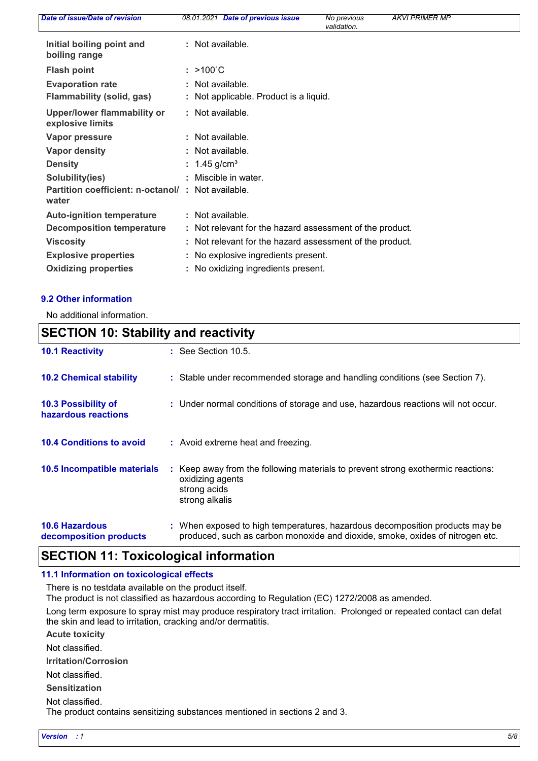| Date of issue/Date of revision                                     | 08.01.2021 Date of previous issue                          | No previous<br>validation. | <b>AKVI PRIMER MP</b> |  |
|--------------------------------------------------------------------|------------------------------------------------------------|----------------------------|-----------------------|--|
| Initial boiling point and<br>boiling range                         | : Not available.                                           |                            |                       |  |
| <b>Flash point</b>                                                 | $: >100^{\circ}$ C                                         |                            |                       |  |
| <b>Evaporation rate</b><br>Flammability (solid, gas)               | : Not available.<br>: Not applicable. Product is a liquid. |                            |                       |  |
| Upper/lower flammability or<br>explosive limits                    | : Not available.                                           |                            |                       |  |
| Vapor pressure                                                     | : Not available.                                           |                            |                       |  |
| <b>Vapor density</b>                                               | : Not available.                                           |                            |                       |  |
| <b>Density</b>                                                     | : $1.45$ g/cm <sup>3</sup>                                 |                            |                       |  |
| Solubility(ies)                                                    | Miscible in water.                                         |                            |                       |  |
| <b>Partition coefficient: n-octanol/ : Not available.</b><br>water |                                                            |                            |                       |  |
| <b>Auto-ignition temperature</b>                                   | : Not available.                                           |                            |                       |  |
| Decomposition temperature                                          | : Not relevant for the hazard assessment of the product.   |                            |                       |  |
| <b>Viscosity</b>                                                   | : Not relevant for the hazard assessment of the product.   |                            |                       |  |
| <b>Explosive properties</b>                                        | : No explosive ingredients present.                        |                            |                       |  |
| <b>Oxidizing properties</b>                                        | : No oxidizing ingredients present.                        |                            |                       |  |
|                                                                    |                                                            |                            |                       |  |

#### **9.2 Other information**

 $\mathsf{r}$ 

No additional information.

| <b>SECTION 10: Stability and reactivity</b>     |                                                                                                                                                               |  |
|-------------------------------------------------|---------------------------------------------------------------------------------------------------------------------------------------------------------------|--|
| <b>10.1 Reactivity</b>                          | $\therefore$ See Section 10.5.                                                                                                                                |  |
| <b>10.2 Chemical stability</b>                  | : Stable under recommended storage and handling conditions (see Section 7).                                                                                   |  |
| 10.3 Possibility of<br>hazardous reactions      | : Under normal conditions of storage and use, hazardous reactions will not occur.                                                                             |  |
| <b>10.4 Conditions to avoid</b>                 | : Avoid extreme heat and freezing.                                                                                                                            |  |
| 10.5 Incompatible materials                     | : Keep away from the following materials to prevent strong exothermic reactions:<br>oxidizing agents<br>strong acids<br>strong alkalis                        |  |
| <b>10.6 Hazardous</b><br>decomposition products | : When exposed to high temperatures, hazardous decomposition products may be<br>produced, such as carbon monoxide and dioxide, smoke, oxides of nitrogen etc. |  |

### **SECTION 11: Toxicological information**

#### **11.1 Information on toxicological effects**

There is no testdata available on the product itself.

The product is not classified as hazardous according to Regulation (EC) 1272/2008 as amended.

Long term exposure to spray mist may produce respiratory tract irritation. Prolonged or repeated contact can defat the skin and lead to irritation, cracking and/or dermatitis.

**Acute toxicity**

Not classified.

**Irritation/Corrosion**

Not classified.

**Sensitization**

Not classified.

The product contains sensitizing substances mentioned in sections 2 and 3.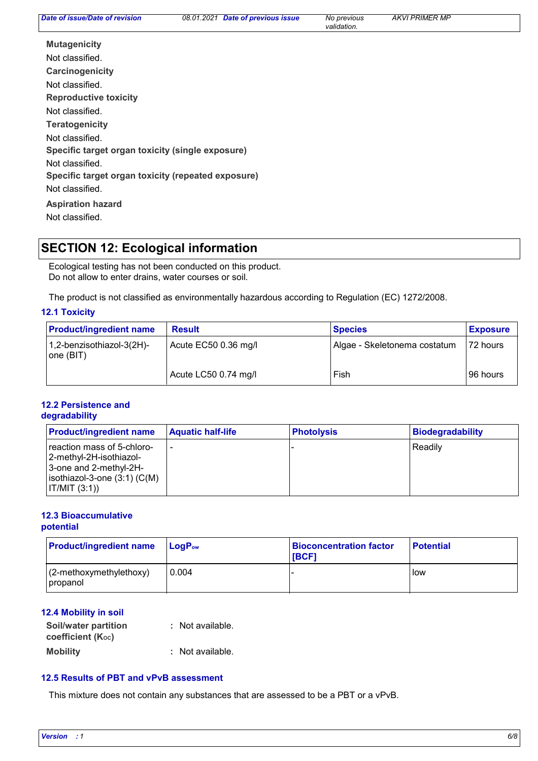*validation.*

**Carcinogenicity Mutagenicity Teratogenicity Reproductive toxicity Specific target organ toxicity (single exposure) Specific target organ toxicity (repeated exposure) Aspiration hazard** Not classified. Not classified. Not classified. Not classified. Not classified. Not classified. Not classified.

### **SECTION 12: Ecological information**

Ecological testing has not been conducted on this product. Do not allow to enter drains, water courses or soil.

The product is not classified as environmentally hazardous according to Regulation (EC) 1272/2008.

### **12.1 Toxicity**

| <b>Product/ingredient name</b>         | <b>Result</b>        | <b>Species</b>               | <b>Exposure</b> |
|----------------------------------------|----------------------|------------------------------|-----------------|
| 1,2-benzisothiazol-3(2H)-<br>one (BIT) | Acute EC50 0.36 mg/l | Algae - Skeletonema costatum | $ 72$ hours     |
|                                        | Acute LC50 0.74 mg/l | Fish                         | 96 hours        |

#### **12.2 Persistence and degradability**

| <b>Product/ingredient name</b>                                                                                                    | <b>Aquatic half-life</b> | <b>Photolysis</b> | Biodegradability |
|-----------------------------------------------------------------------------------------------------------------------------------|--------------------------|-------------------|------------------|
| reaction mass of 5-chloro-<br> 2-methyl-2H-isothiazol-<br>3-one and 2-methyl-2H-<br>$isothiazol-3-one(3:1)(C(M))$<br> IT/MIT(3:1) |                          |                   | l Readilv        |

#### **12.3 Bioaccumulative potential**

| <b>Product/ingredient name</b>           | $\mathsf{LogP}_\mathsf{ow}$ | <b>Bioconcentration factor</b><br><b>IBCF1</b> | <b>Potential</b> |
|------------------------------------------|-----------------------------|------------------------------------------------|------------------|
| $(2$ -methoxymethylethoxy)<br>  propanol | 0.004                       |                                                | low              |

### **12.4 Mobility in soil**

| Soil/water partition<br>coefficient $(K_{oc})$ | : Not available. |
|------------------------------------------------|------------------|
| <b>Mobility</b>                                | : Not available. |

### **12.5 Results of PBT and vPvB assessment**

This mixture does not contain any substances that are assessed to be a PBT or a vPvB.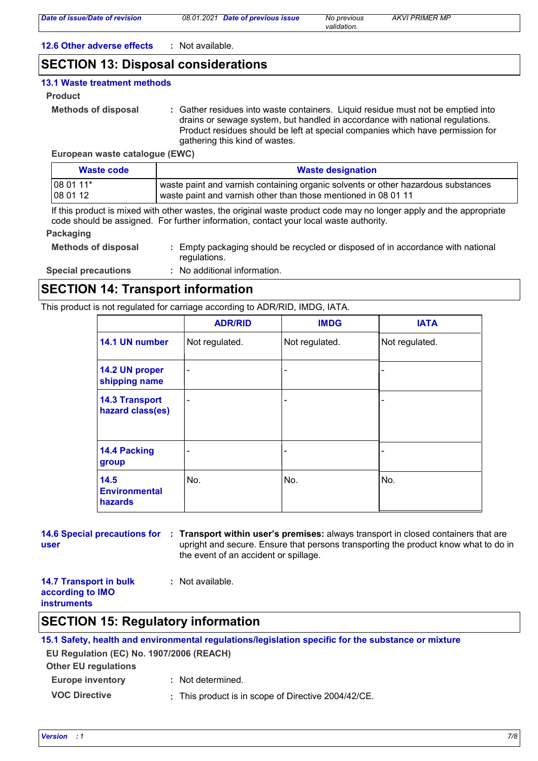*Date of previous issue No previous AKVI PRIMER MP*

*validation.*

**12.6 Other adverse effects :** Not available.

### **SECTION 13: Disposal considerations**

### **13.1 Waste treatment methods**

- **Product**
	- **Methods of disposal :**

Gather residues into waste containers. Liquid residue must not be emptied into drains or sewage system, but handled in accordance with national regulations. Product residues should be left at special companies which have permission for gathering this kind of wastes.

**European waste catalogue (EWC)**

| Waste code                     | <b>Waste designation</b>                                                          |  |
|--------------------------------|-----------------------------------------------------------------------------------|--|
| $1080111*$<br>$ 080112\rangle$ | waste paint and varnish containing organic solvents or other hazardous substances |  |
|                                | waste paint and varnish other than those mentioned in 08 01 11                    |  |

If this product is mixed with other wastes, the original waste product code may no longer apply and the appropriate code should be assigned. For further information, contact your local waste authority.

### **Packaging**

| <b>Methods of disposal</b> | : Empty packaging should be recycled or disposed of in accordance with national |  |
|----------------------------|---------------------------------------------------------------------------------|--|
|                            | requlations.                                                                    |  |

**Special precautions :** No additional information.

### **SECTION 14: Transport information**

This product is not regulated for carriage according to ADR/RID, IMDG, IATA.

|                                           | <b>ADR/RID</b> | <b>IMDG</b>    | <b>IATA</b>    |
|-------------------------------------------|----------------|----------------|----------------|
| 14.1 UN number                            | Not regulated. | Not regulated. | Not regulated. |
| 14.2 UN proper<br>shipping name           | -              |                |                |
| <b>14.3 Transport</b><br>hazard class(es) |                |                |                |
| 14.4 Packing<br>group                     |                | ۰              |                |
| 14.5<br><b>Environmental</b><br>hazards   | No.            | No.            | No.            |

```
14.6 Special precautions for : Transport within user's premises: always transport in closed containers that are
user
                                 upright and secure. Ensure that persons transporting the product know what to do in 
                                 the event of an accident or spillage.
```

| <b>14.7 Transport in bulk</b> | : Not available. |
|-------------------------------|------------------|
| according to IMO              |                  |
| <b>instruments</b>            |                  |

### **SECTION 15: Regulatory information**

### **15.1 Safety, health and environmental regulations/legislation specific for the substance or mixture**

**EU Regulation (EC) No. 1907/2006 (REACH)**

**Other EU regulations**

- **Europe inventory :** Not determined.
- **VOC Directive :** This product is in scope of Directive 2004/42/CE.